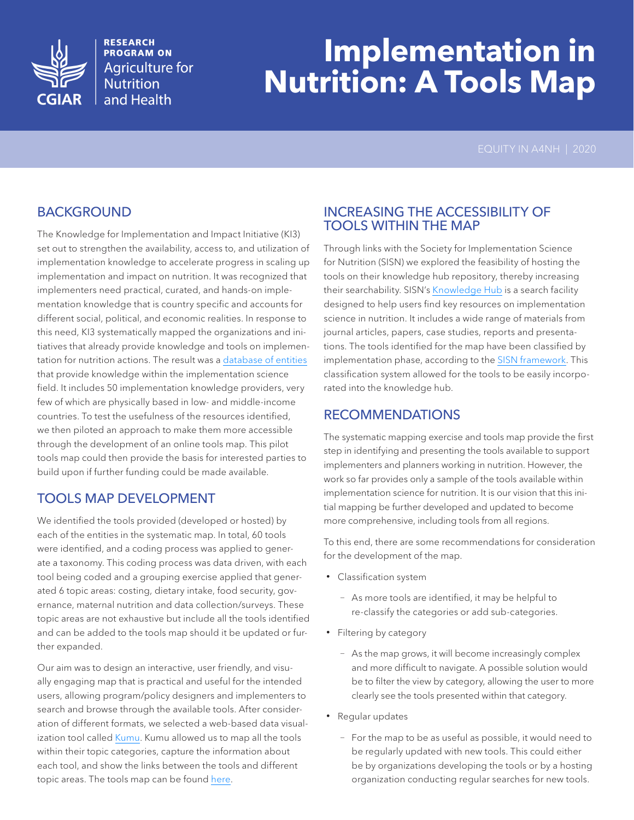

**RESEARCH PROGRAM ON Agriculture for Nutrition** and Health

# **Implementation in Nutrition: A Tools Map**

## BACKGROUND

The Knowledge for Implementation and Impact Initiative (KI3) set out to strengthen the availability, access to, and utilization of implementation knowledge to accelerate progress in scaling up implementation and impact on nutrition. It was recognized that implementers need practical, curated, and hands-on implementation knowledge that is country specific and accounts for different social, political, and economic realities. In response to this need, KI3 systematically mapped the organizations and initiatives that already provide knowledge and tools on implementation for nutrition actions. The result was a [database of entities](https://a4nh.cgiar.org/our-research/flagship-4/) that provide knowledge within the implementation science field. It includes 50 implementation knowledge providers, very few of which are physically based in low- and middle-income countries. To test the usefulness of the resources identified, we then piloted an approach to make them more accessible through the development of an online tools map. This pilot tools map could then provide the basis for interested parties to build upon if further funding could be made available.

## TOOLS MAP DEVELOPMENT

We identified the tools provided (developed or hosted) by each of the entities in the systematic map. In total, 60 tools were identified, and a coding process was applied to generate a taxonomy. This coding process was data driven, with each tool being coded and a grouping exercise applied that generated 6 topic areas: costing, dietary intake, food security, governance, maternal nutrition and data collection/surveys. These topic areas are not exhaustive but include all the tools identified and can be added to the tools map should it be updated or further expanded.

Our aim was to design an interactive, user friendly, and visually engaging map that is practical and useful for the intended users, allowing program/policy designers and implementers to search and browse through the available tools. After consideration of different formats, we selected a web-based [data visual](https://en.wikipedia.org/wiki/Data_visualization)[ization](https://en.wikipedia.org/wiki/Data_visualization) tool called [Kumu](https://kumu.io/). Kumu allowed us to map all the tools within their topic categories, capture the information about each tool, and show the links between the tools and different topic areas. The tools map can be found [here.](https://kumu.io/idsuk/implementation-science-tools#toolkit)

#### INCREASING THE ACCESSIBILITY OF TOOLS WITHIN THE MAP

Through links with the Society for Implementation Science for Nutrition (SISN) we explored the feasibility of hosting the tools on their knowledge hub repository, thereby increasing their searchability. SISN's [Knowledge Hub](https://www.implementnutrition.org/knowledge/) is a search facility designed to help users find key resources on implementation science in nutrition. It includes a wide range of materials from journal articles, papers, case studies, reports and presentations. The tools identified for the map have been classified by implementation phase, according to the [SISN framework.](https://www.implementnutrition.org/sisn-framework/) This classification system allowed for the tools to be easily incorporated into the knowledge hub.

## RECOMMENDATIONS

The systematic mapping exercise and tools map provide the first step in identifying and presenting the tools available to support implementers and planners working in nutrition. However, the work so far provides only a sample of the tools available within implementation science for nutrition. It is our vision that this initial mapping be further developed and updated to become more comprehensive, including tools from all regions.

To this end, there are some recommendations for consideration for the development of the map.

- Classification system
	- As more tools are identified, it may be helpful to re-classify the categories or add sub-categories.
- Filtering by category
	- As the map grows, it will become increasingly complex and more difficult to navigate. A possible solution would be to filter the view by category, allowing the user to more clearly see the tools presented within that category.
- Regular updates
	- For the map to be as useful as possible, it would need to be regularly updated with new tools. This could either be by organizations developing the tools or by a hosting organization conducting regular searches for new tools.